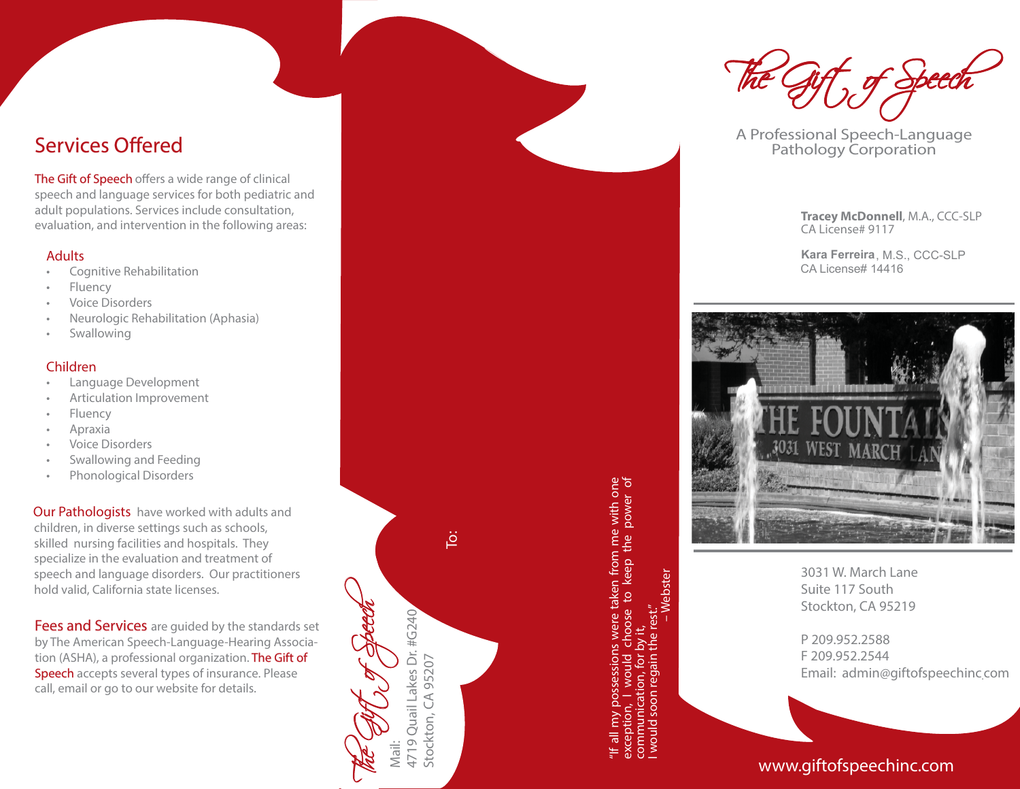# Services Offered

The Gift of Speech offers a wide range of clinical speech and language services for both pediatric and adult populations. Services include consultation, evaluation, and intervention in the following areas:

## Adults

- Cognitive Rehabilitation
- **Fluency**
- Voice Disorders
- Neurologic Rehabilitation (Aphasia)
- **Swallowing**

## Children

- Language Development
- Articulation Improvement
- Fluency
- Apraxia
- Voice Disorders
- Swallowing and Feeding
- Phonological Disorders

Our Pathologists have worked with adults and children, in diverse settings such as schools, skilled nursing facilities and hospitals. They specialize in the evaluation and treatment of speech and language disorders. Our practitioners hold valid, California state licenses.

Fees and Services are guided by the standards set by The American Speech-Language-Hearing Association (ASHA), a professional organization. **The Gift of Speech** accepts several types of insurance. Please call, email or go to our website for details.

.<br>ق

The Gift of Speech

Mail:

4719 Quail Lakes Dr. #G240

4719 Quail Lakes Dr. #G240

"If all my possessions were taken from me with one n from me with one<br>keep the power of taken Stockton, CA 952021<br>
Stockton, CA 952021<br>
Stockton, CA 952021<br>
The property of the set of the set of the set of the set of the set of the set of the set of the set of the set of the set of the set of the set of the set of

exception, I would choose to keep the power of

communication, for by it, I would soon regain the rest." – Webster

The Gift of Speech

A Professional Speech-Language Pathology Corporation

**Tracey McDonnell**, M.A., CCC-SLP CA License# 9117

**Kara Ferreira**, M.S., CCC-SLP CA License# 14416



3031 W. March Lane Suite 117 SouthStockton, CA 95219

P 209.952.2588F 209.952.2544Email: admin@giftofspeechinc.com